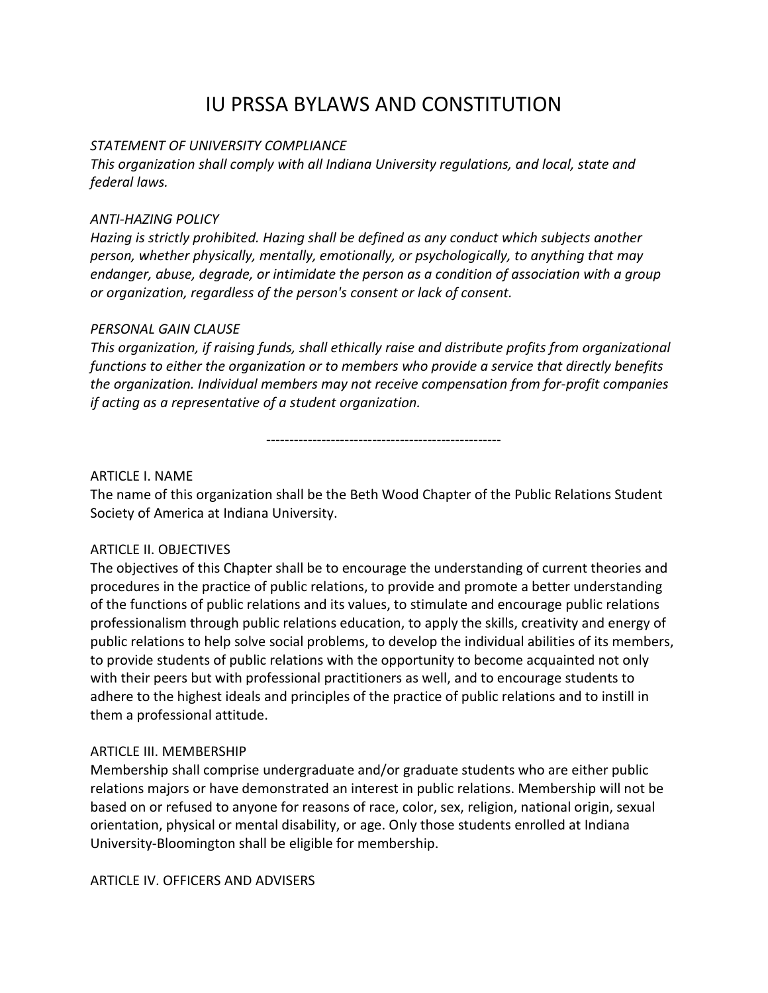# IU PRSSA BYLAWS AND CONSTITUTION

#### *STATEMENT OF UNIVERSITY COMPLIANCE*

*This organization shall comply with all Indiana University regulations, and local, state and federal laws.* 

#### *ANTI-HAZING POLICY*

*Hazing is strictly prohibited. Hazing shall be defined as any conduct which subjects another person, whether physically, mentally, emotionally, or psychologically, to anything that may endanger, abuse, degrade, or intimidate the person as a condition of association with a group or organization, regardless of the person's consent or lack of consent.* 

## *PERSONAL GAIN CLAUSE*

*This organization, if raising funds, shall ethically raise and distribute profits from organizational functions to either the organization or to members who provide a service that directly benefits the organization. Individual members may not receive compensation from for-profit companies if acting as a representative of a student organization.*

---------------------------------------------------

## ARTICLE I. NAME

The name of this organization shall be the Beth Wood Chapter of the Public Relations Student Society of America at Indiana University.

#### ARTICLE II. OBJECTIVES

The objectives of this Chapter shall be to encourage the understanding of current theories and procedures in the practice of public relations, to provide and promote a better understanding of the functions of public relations and its values, to stimulate and encourage public relations professionalism through public relations education, to apply the skills, creativity and energy of public relations to help solve social problems, to develop the individual abilities of its members, to provide students of public relations with the opportunity to become acquainted not only with their peers but with professional practitioners as well, and to encourage students to adhere to the highest ideals and principles of the practice of public relations and to instill in them a professional attitude.

#### ARTICLE III. MEMBERSHIP

Membership shall comprise undergraduate and/or graduate students who are either public relations majors or have demonstrated an interest in public relations. Membership will not be based on or refused to anyone for reasons of race, color, sex, religion, national origin, sexual orientation, physical or mental disability, or age. Only those students enrolled at Indiana University-Bloomington shall be eligible for membership.

ARTICLE IV. OFFICERS AND ADVISERS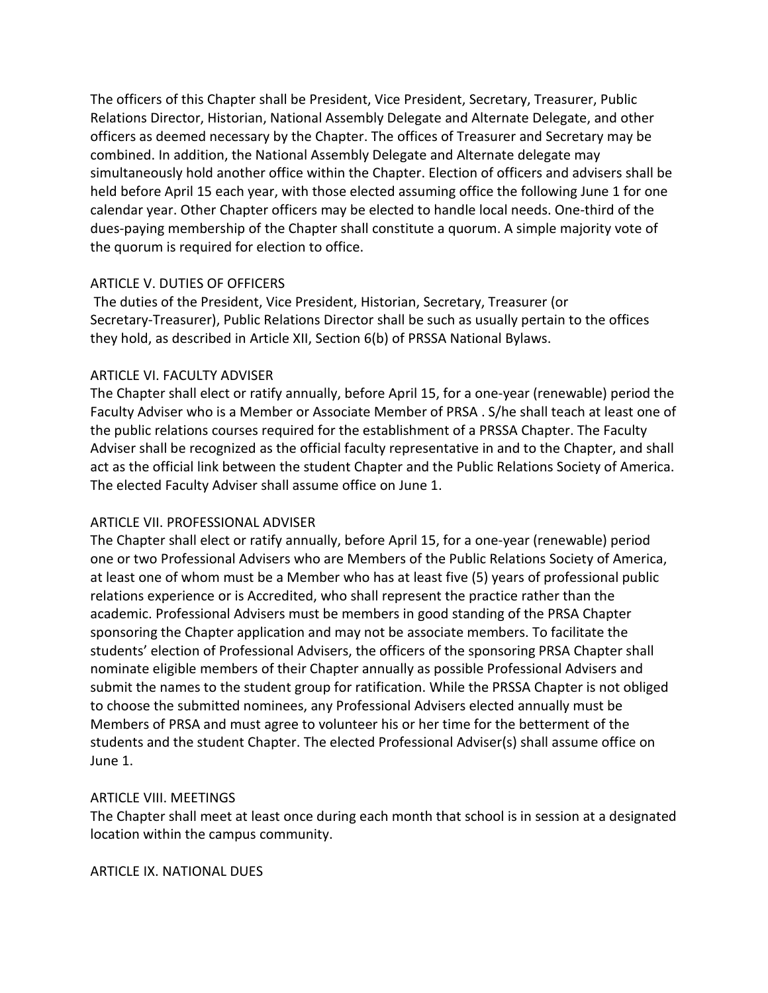The officers of this Chapter shall be President, Vice President, Secretary, Treasurer, Public Relations Director, Historian, National Assembly Delegate and Alternate Delegate, and other officers as deemed necessary by the Chapter. The offices of Treasurer and Secretary may be combined. In addition, the National Assembly Delegate and Alternate delegate may simultaneously hold another office within the Chapter. Election of officers and advisers shall be held before April 15 each year, with those elected assuming office the following June 1 for one calendar year. Other Chapter officers may be elected to handle local needs. One-third of the dues-paying membership of the Chapter shall constitute a quorum. A simple majority vote of the quorum is required for election to office.

## ARTICLE V. DUTIES OF OFFICERS

The duties of the President, Vice President, Historian, Secretary, Treasurer (or Secretary-Treasurer), Public Relations Director shall be such as usually pertain to the offices they hold, as described in Article XII, Section 6(b) of PRSSA National Bylaws.

# ARTICLE VI. FACULTY ADVISER

The Chapter shall elect or ratify annually, before April 15, for a one-year (renewable) period the Faculty Adviser who is a Member or Associate Member of PRSA . S/he shall teach at least one of the public relations courses required for the establishment of a PRSSA Chapter. The Faculty Adviser shall be recognized as the official faculty representative in and to the Chapter, and shall act as the official link between the student Chapter and the Public Relations Society of America. The elected Faculty Adviser shall assume office on June 1.

# ARTICLE VII. PROFESSIONAL ADVISER

The Chapter shall elect or ratify annually, before April 15, for a one-year (renewable) period one or two Professional Advisers who are Members of the Public Relations Society of America, at least one of whom must be a Member who has at least five (5) years of professional public relations experience or is Accredited, who shall represent the practice rather than the academic. Professional Advisers must be members in good standing of the PRSA Chapter sponsoring the Chapter application and may not be associate members. To facilitate the students' election of Professional Advisers, the officers of the sponsoring PRSA Chapter shall nominate eligible members of their Chapter annually as possible Professional Advisers and submit the names to the student group for ratification. While the PRSSA Chapter is not obliged to choose the submitted nominees, any Professional Advisers elected annually must be Members of PRSA and must agree to volunteer his or her time for the betterment of the students and the student Chapter. The elected Professional Adviser(s) shall assume office on June 1.

## ARTICLE VIII. MEETINGS

The Chapter shall meet at least once during each month that school is in session at a designated location within the campus community.

ARTICLE IX. NATIONAL DUES